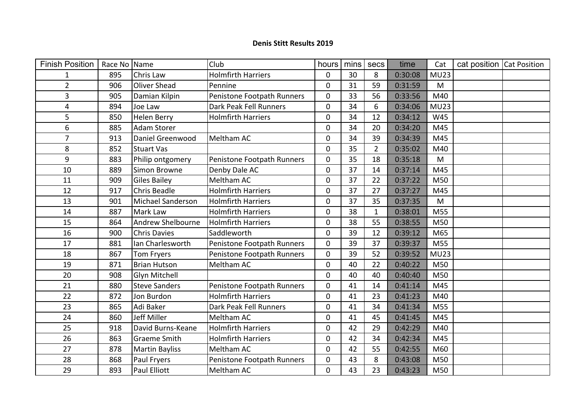## **Denis Stitt Results 2019**

| <b>Finish Position</b> | Race No Name |                          | Club                       | hours          | mins | secs           | time    | Cat         | cat position Cat Position |  |
|------------------------|--------------|--------------------------|----------------------------|----------------|------|----------------|---------|-------------|---------------------------|--|
| $\mathbf{1}$           | 895          | Chris Law                | <b>Holmfirth Harriers</b>  | $\overline{0}$ | 30   | 8              | 0:30:08 | MU23        |                           |  |
| $\overline{2}$         | 906          | <b>Oliver Shead</b>      | Pennine                    | $\mathbf 0$    | 31   | 59             | 0:31:59 | M           |                           |  |
| 3                      | 905          | Damian Kilpin            | Penistone Footpath Runners | $\mathbf 0$    | 33   | 56             | 0:33:56 | M40         |                           |  |
| 4                      | 894          | Joe Law                  | Dark Peak Fell Runners     | $\mathbf 0$    | 34   | 6              | 0:34:06 | <b>MU23</b> |                           |  |
| 5                      | 850          | <b>Helen Berry</b>       | <b>Holmfirth Harriers</b>  | $\mathbf 0$    | 34   | 12             | 0:34:12 | W45         |                           |  |
| 6                      | 885          | <b>Adam Storer</b>       |                            | $\mathbf 0$    | 34   | 20             | 0:34:20 | M45         |                           |  |
| $\overline{7}$         | 913          | Daniel Greenwood         | <b>Meltham AC</b>          | $\mathbf 0$    | 34   | 39             | 0:34:39 | M45         |                           |  |
| 8                      | 852          | <b>Stuart Vas</b>        |                            | $\mathbf 0$    | 35   | $\overline{2}$ | 0:35:02 | M40         |                           |  |
| 9                      | 883          | Philip ontgomery         | Penistone Footpath Runners | $\mathbf 0$    | 35   | 18             | 0:35:18 | M           |                           |  |
| 10                     | 889          | Simon Browne             | Denby Dale AC              | $\mathbf 0$    | 37   | 14             | 0:37:14 | M45         |                           |  |
| 11                     | 909          | <b>Giles Bailey</b>      | <b>Meltham AC</b>          | $\mathbf 0$    | 37   | 22             | 0:37:22 | M50         |                           |  |
| 12                     | 917          | <b>Chris Beadle</b>      | <b>Holmfirth Harriers</b>  | $\mathbf 0$    | 37   | 27             | 0:37:27 | M45         |                           |  |
| 13                     | 901          | Michael Sanderson        | <b>Holmfirth Harriers</b>  | $\overline{0}$ | 37   | 35             | 0:37:35 | M           |                           |  |
| 14                     | 887          | <b>Mark Law</b>          | <b>Holmfirth Harriers</b>  | $\mathbf 0$    | 38   | $\mathbf{1}$   | 0:38:01 | M55         |                           |  |
| 15                     | 864          | <b>Andrew Shelbourne</b> | <b>Holmfirth Harriers</b>  | $\overline{0}$ | 38   | 55             | 0:38:55 | M50         |                           |  |
| 16                     | 900          | <b>Chris Davies</b>      | Saddleworth                | $\mathbf 0$    | 39   | 12             | 0:39:12 | M65         |                           |  |
| 17                     | 881          | Ian Charlesworth         | Penistone Footpath Runners | $\overline{0}$ | 39   | 37             | 0:39:37 | M55         |                           |  |
| 18                     | 867          | <b>Tom Fryers</b>        | Penistone Footpath Runners | $\mathbf 0$    | 39   | 52             | 0:39:52 | <b>MU23</b> |                           |  |
| 19                     | 871          | <b>Brian Hutson</b>      | Meltham AC                 | $\mathbf 0$    | 40   | 22             | 0:40:22 | M50         |                           |  |
| 20                     | 908          | <b>Glyn Mitchell</b>     |                            | $\mathbf 0$    | 40   | 40             | 0:40:40 | M50         |                           |  |
| 21                     | 880          | <b>Steve Sanders</b>     | Penistone Footpath Runners | $\mathbf 0$    | 41   | 14             | 0:41:14 | M45         |                           |  |
| 22                     | 872          | Jon Burdon               | <b>Holmfirth Harriers</b>  | $\mathbf 0$    | 41   | 23             | 0:41:23 | M40         |                           |  |
| 23                     | 865          | Adi Baker                | Dark Peak Fell Runners     | $\mathbf 0$    | 41   | 34             | 0:41:34 | M55         |                           |  |
| 24                     | 860          | Jeff Miller              | Meltham AC                 | $\mathbf 0$    | 41   | 45             | 0:41:45 | M45         |                           |  |
| 25                     | 918          | David Burns-Keane        | <b>Holmfirth Harriers</b>  | $\mathbf 0$    | 42   | 29             | 0:42:29 | M40         |                           |  |
| 26                     | 863          | <b>Graeme Smith</b>      | <b>Holmfirth Harriers</b>  | $\mathbf 0$    | 42   | 34             | 0:42:34 | M45         |                           |  |
| 27                     | 878          | <b>Martin Bayliss</b>    | Meltham AC                 | $\mathbf 0$    | 42   | 55             | 0:42:55 | M60         |                           |  |
| 28                     | 868          | Paul Fryers              | Penistone Footpath Runners | $\mathbf 0$    | 43   | 8              | 0:43:08 | M50         |                           |  |
| 29                     | 893          | <b>Paul Elliott</b>      | Meltham AC                 | $\mathbf 0$    | 43   | 23             | 0:43:23 | M50         |                           |  |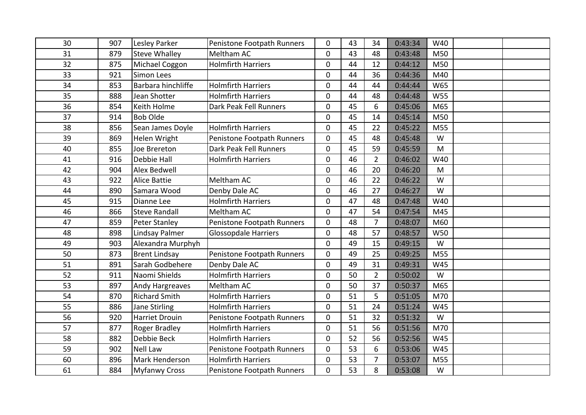| 30 | 907 | Lesley Parker         | Penistone Footpath Runners  | 0              | 43 | 34             | 0:43:34 | W40        |  |
|----|-----|-----------------------|-----------------------------|----------------|----|----------------|---------|------------|--|
| 31 | 879 | <b>Steve Whalley</b>  | Meltham AC                  | 0              | 43 | 48             | 0:43:48 | M50        |  |
| 32 | 875 | Michael Coggon        | <b>Holmfirth Harriers</b>   | $\mathbf 0$    | 44 | 12             | 0:44:12 | M50        |  |
| 33 | 921 | Simon Lees            |                             | $\mathbf 0$    | 44 | 36             | 0:44:36 | M40        |  |
| 34 | 853 | Barbara hinchliffe    | <b>Holmfirth Harriers</b>   | $\mathbf 0$    | 44 | 44             | 0:44:44 | W65        |  |
| 35 | 888 | Jean Shotter          | <b>Holmfirth Harriers</b>   | $\mathbf 0$    | 44 | 48             | 0:44:48 | <b>W55</b> |  |
| 36 | 854 | Keith Holme           | Dark Peak Fell Runners      | $\overline{0}$ | 45 | 6              | 0:45:06 | M65        |  |
| 37 | 914 | <b>Bob Olde</b>       |                             | $\mathbf 0$    | 45 | 14             | 0:45:14 | M50        |  |
| 38 | 856 | Sean James Doyle      | <b>Holmfirth Harriers</b>   | $\pmb{0}$      | 45 | 22             | 0:45:22 | M55        |  |
| 39 | 869 | Helen Wright          | Penistone Footpath Runners  | $\mathbf 0$    | 45 | 48             | 0:45:48 | W          |  |
| 40 | 855 | Joe Brereton          | Dark Peak Fell Runners      | $\mathbf 0$    | 45 | 59             | 0:45:59 | M          |  |
| 41 | 916 | Debbie Hall           | <b>Holmfirth Harriers</b>   | $\mathbf 0$    | 46 | $\overline{2}$ | 0:46:02 | W40        |  |
| 42 | 904 | Alex Bedwell          |                             | $\mathbf 0$    | 46 | 20             | 0:46:20 | M          |  |
| 43 | 922 | <b>Alice Battie</b>   | Meltham AC                  | $\mathbf 0$    | 46 | 22             | 0:46:22 | W          |  |
| 44 | 890 | Samara Wood           | Denby Dale AC               | $\pmb{0}$      | 46 | 27             | 0:46:27 | W          |  |
| 45 | 915 | Dianne Lee            | <b>Holmfirth Harriers</b>   | $\mathbf 0$    | 47 | 48             | 0:47:48 | W40        |  |
| 46 | 866 | <b>Steve Randall</b>  | Meltham AC                  | $\mathbf 0$    | 47 | 54             | 0:47:54 | M45        |  |
| 47 | 859 | <b>Peter Stanley</b>  | Penistone Footpath Runners  | $\mathbf 0$    | 48 | $\overline{7}$ | 0:48:07 | M60        |  |
| 48 | 898 | Lindsay Palmer        | <b>Glossopdale Harriers</b> | $\mathbf 0$    | 48 | 57             | 0:48:57 | <b>W50</b> |  |
| 49 | 903 | Alexandra Murphyh     |                             | $\mathbf 0$    | 49 | 15             | 0:49:15 | W          |  |
| 50 | 873 | <b>Brent Lindsay</b>  | Penistone Footpath Runners  | $\mathbf 0$    | 49 | 25             | 0:49:25 | M55        |  |
| 51 | 891 | Sarah Godbehere       | Denby Dale AC               | $\mathbf 0$    | 49 | 31             | 0:49:31 | W45        |  |
| 52 | 911 | Naomi Shields         | <b>Holmfirth Harriers</b>   | $\mathbf 0$    | 50 | $\overline{2}$ | 0:50:02 | W          |  |
| 53 | 897 | Andy Hargreaves       | Meltham AC                  | $\overline{0}$ | 50 | 37             | 0:50:37 | M65        |  |
| 54 | 870 | <b>Richard Smith</b>  | <b>Holmfirth Harriers</b>   | $\mathbf 0$    | 51 | 5              | 0:51:05 | M70        |  |
| 55 | 886 | Jane Stirling         | <b>Holmfirth Harriers</b>   | $\mathbf 0$    | 51 | 24             | 0:51:24 | W45        |  |
| 56 | 920 | <b>Harriet Drouin</b> | Penistone Footpath Runners  | $\mathbf 0$    | 51 | 32             | 0:51:32 | W          |  |
| 57 | 877 | Roger Bradley         | <b>Holmfirth Harriers</b>   | $\mathbf 0$    | 51 | 56             | 0:51:56 | M70        |  |
| 58 | 882 | Debbie Beck           | <b>Holmfirth Harriers</b>   | $\mathbf 0$    | 52 | 56             | 0:52:56 | W45        |  |
| 59 | 902 | <b>Nell Law</b>       | Penistone Footpath Runners  | $\mathbf 0$    | 53 | 6              | 0:53:06 | W45        |  |
| 60 | 896 | Mark Henderson        | <b>Holmfirth Harriers</b>   | $\mathbf 0$    | 53 | 7              | 0:53:07 | M55        |  |
| 61 | 884 | <b>Myfanwy Cross</b>  | Penistone Footpath Runners  | 0              | 53 | 8              | 0:53:08 | W          |  |